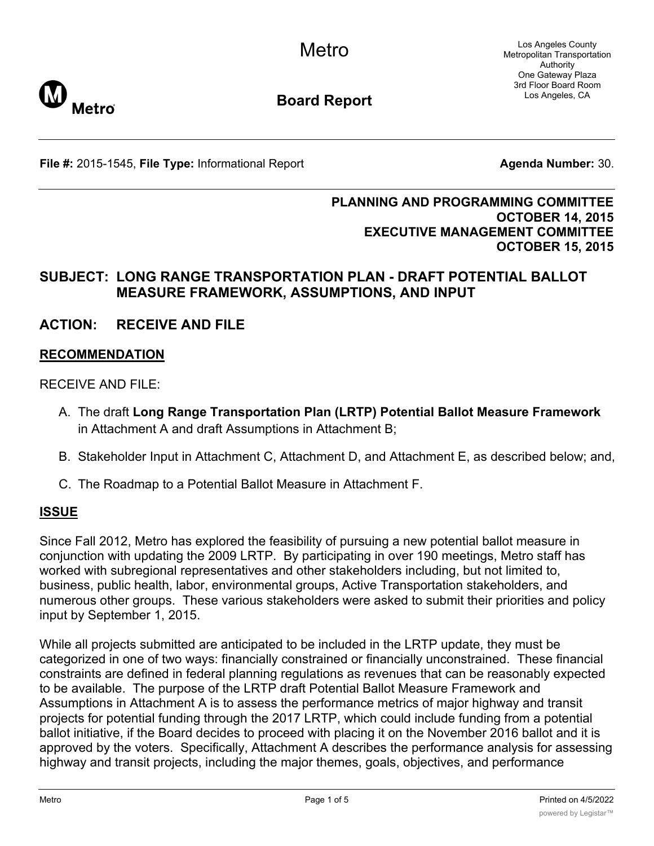Los Angeles County Metropolitan Transportation Authority One Gateway Plaza 3rd Floor Board Room Los Angeles, CA



**Board Report**

**File #:** 2015-1545, File Type: Informational Report **Agents Agenda Number:** 30.

#### **PLANNING AND PROGRAMMING COMMITTEE OCTOBER 14, 2015 EXECUTIVE MANAGEMENT COMMITTEE OCTOBER 15, 2015**

## **SUBJECT: LONG RANGE TRANSPORTATION PLAN - DRAFT POTENTIAL BALLOT MEASURE FRAMEWORK, ASSUMPTIONS, AND INPUT**

# **ACTION: RECEIVE AND FILE**

#### **RECOMMENDATION**

RECEIVE AND FILE:

- A. The draft **Long Range Transportation Plan (LRTP) Potential Ballot Measure Framework** in Attachment A and draft Assumptions in Attachment B;
- B. Stakeholder Input in Attachment C, Attachment D, and Attachment E, as described below; and,
- C. The Roadmap to a Potential Ballot Measure in Attachment F.

#### **ISSUE**

Since Fall 2012, Metro has explored the feasibility of pursuing a new potential ballot measure in conjunction with updating the 2009 LRTP. By participating in over 190 meetings, Metro staff has worked with subregional representatives and other stakeholders including, but not limited to, business, public health, labor, environmental groups, Active Transportation stakeholders, and numerous other groups. These various stakeholders were asked to submit their priorities and policy input by September 1, 2015.

While all projects submitted are anticipated to be included in the LRTP update, they must be categorized in one of two ways: financially constrained or financially unconstrained. These financial constraints are defined in federal planning regulations as revenues that can be reasonably expected to be available. The purpose of the LRTP draft Potential Ballot Measure Framework and Assumptions in Attachment A is to assess the performance metrics of major highway and transit projects for potential funding through the 2017 LRTP, which could include funding from a potential ballot initiative, if the Board decides to proceed with placing it on the November 2016 ballot and it is approved by the voters. Specifically, Attachment A describes the performance analysis for assessing highway and transit projects, including the major themes, goals, objectives, and performance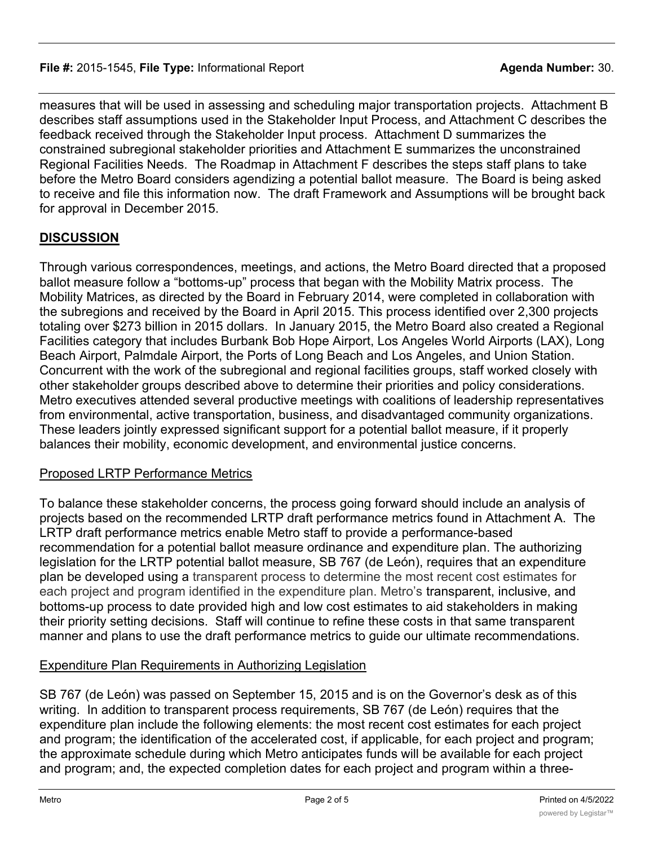measures that will be used in assessing and scheduling major transportation projects. Attachment B describes staff assumptions used in the Stakeholder Input Process, and Attachment C describes the feedback received through the Stakeholder Input process. Attachment D summarizes the constrained subregional stakeholder priorities and Attachment E summarizes the unconstrained Regional Facilities Needs. The Roadmap in Attachment F describes the steps staff plans to take before the Metro Board considers agendizing a potential ballot measure. The Board is being asked to receive and file this information now. The draft Framework and Assumptions will be brought back for approval in December 2015.

## **DISCUSSION**

Through various correspondences, meetings, and actions, the Metro Board directed that a proposed ballot measure follow a "bottoms-up" process that began with the Mobility Matrix process. The Mobility Matrices, as directed by the Board in February 2014, were completed in collaboration with the subregions and received by the Board in April 2015. This process identified over 2,300 projects totaling over \$273 billion in 2015 dollars. In January 2015, the Metro Board also created a Regional Facilities category that includes Burbank Bob Hope Airport, Los Angeles World Airports (LAX), Long Beach Airport, Palmdale Airport, the Ports of Long Beach and Los Angeles, and Union Station. Concurrent with the work of the subregional and regional facilities groups, staff worked closely with other stakeholder groups described above to determine their priorities and policy considerations. Metro executives attended several productive meetings with coalitions of leadership representatives from environmental, active transportation, business, and disadvantaged community organizations. These leaders jointly expressed significant support for a potential ballot measure, if it properly balances their mobility, economic development, and environmental justice concerns.

## Proposed LRTP Performance Metrics

To balance these stakeholder concerns, the process going forward should include an analysis of projects based on the recommended LRTP draft performance metrics found in Attachment A. The LRTP draft performance metrics enable Metro staff to provide a performance-based recommendation for a potential ballot measure ordinance and expenditure plan. The authorizing legislation for the LRTP potential ballot measure, SB 767 (de León), requires that an expenditure plan be developed using a transparent process to determine the most recent cost estimates for each project and program identified in the expenditure plan. Metro's transparent, inclusive, and bottoms-up process to date provided high and low cost estimates to aid stakeholders in making their priority setting decisions. Staff will continue to refine these costs in that same transparent manner and plans to use the draft performance metrics to guide our ultimate recommendations.

## Expenditure Plan Requirements in Authorizing Legislation

SB 767 (de León) was passed on September 15, 2015 and is on the Governor's desk as of this writing. In addition to transparent process requirements, SB 767 (de León) requires that the expenditure plan include the following elements: the most recent cost estimates for each project and program; the identification of the accelerated cost, if applicable, for each project and program; the approximate schedule during which Metro anticipates funds will be available for each project and program; and, the expected completion dates for each project and program within a three-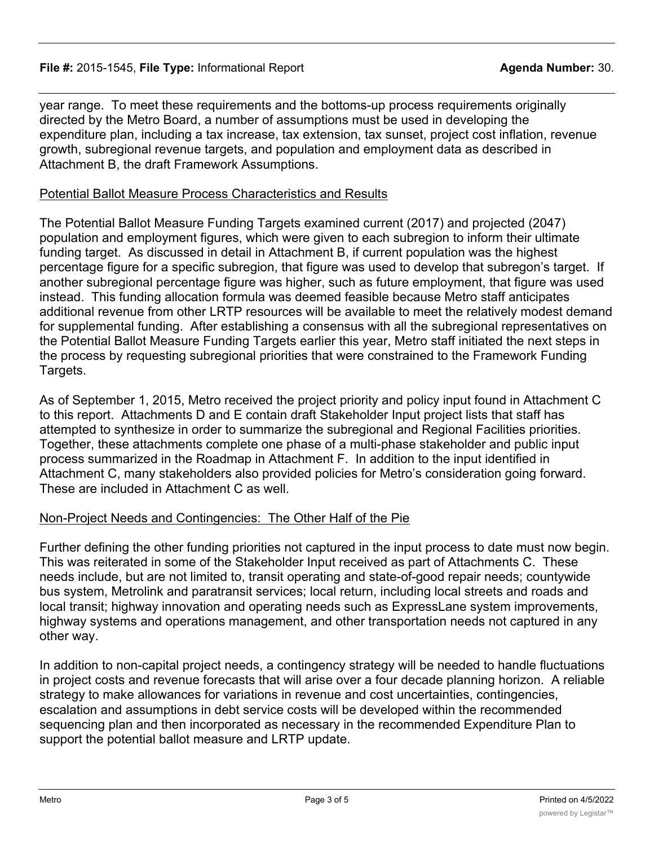#### **File #:** 2015-1545, File Type: Informational Report **Agent Agent Agenda Number:** 30.

year range. To meet these requirements and the bottoms-up process requirements originally directed by the Metro Board, a number of assumptions must be used in developing the expenditure plan, including a tax increase, tax extension, tax sunset, project cost inflation, revenue growth, subregional revenue targets, and population and employment data as described in Attachment B, the draft Framework Assumptions.

#### Potential Ballot Measure Process Characteristics and Results

The Potential Ballot Measure Funding Targets examined current (2017) and projected (2047) population and employment figures, which were given to each subregion to inform their ultimate funding target. As discussed in detail in Attachment B, if current population was the highest percentage figure for a specific subregion, that figure was used to develop that subregon's target. If another subregional percentage figure was higher, such as future employment, that figure was used instead. This funding allocation formula was deemed feasible because Metro staff anticipates additional revenue from other LRTP resources will be available to meet the relatively modest demand for supplemental funding. After establishing a consensus with all the subregional representatives on the Potential Ballot Measure Funding Targets earlier this year, Metro staff initiated the next steps in the process by requesting subregional priorities that were constrained to the Framework Funding Targets.

As of September 1, 2015, Metro received the project priority and policy input found in Attachment C to this report. Attachments D and E contain draft Stakeholder Input project lists that staff has attempted to synthesize in order to summarize the subregional and Regional Facilities priorities. Together, these attachments complete one phase of a multi-phase stakeholder and public input process summarized in the Roadmap in Attachment F. In addition to the input identified in Attachment C, many stakeholders also provided policies for Metro's consideration going forward. These are included in Attachment C as well.

## Non-Project Needs and Contingencies: The Other Half of the Pie

Further defining the other funding priorities not captured in the input process to date must now begin. This was reiterated in some of the Stakeholder Input received as part of Attachments C. These needs include, but are not limited to, transit operating and state-of-good repair needs; countywide bus system, Metrolink and paratransit services; local return, including local streets and roads and local transit; highway innovation and operating needs such as ExpressLane system improvements, highway systems and operations management, and other transportation needs not captured in any other way.

In addition to non-capital project needs, a contingency strategy will be needed to handle fluctuations in project costs and revenue forecasts that will arise over a four decade planning horizon. A reliable strategy to make allowances for variations in revenue and cost uncertainties, contingencies, escalation and assumptions in debt service costs will be developed within the recommended sequencing plan and then incorporated as necessary in the recommended Expenditure Plan to support the potential ballot measure and LRTP update.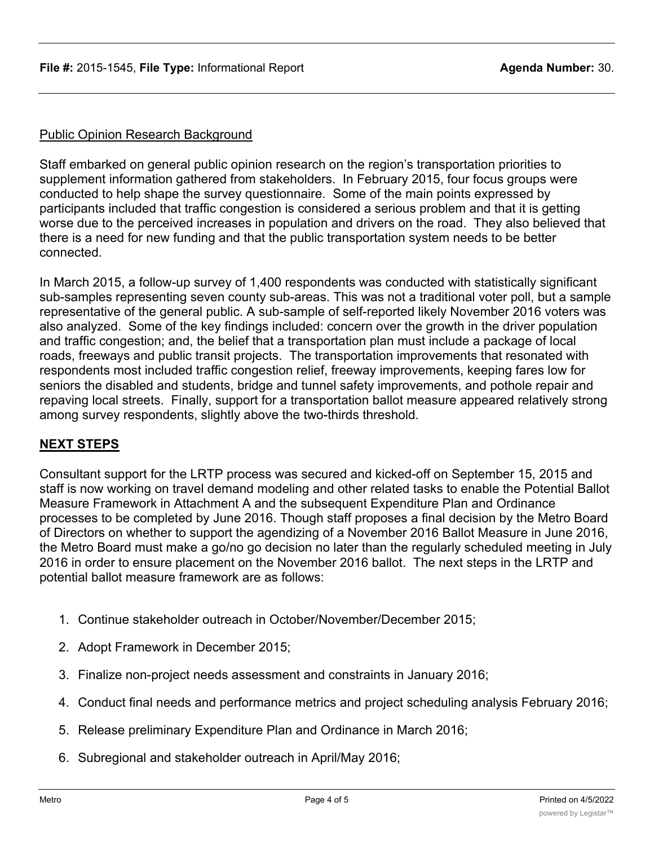#### Public Opinion Research Background

Staff embarked on general public opinion research on the region's transportation priorities to supplement information gathered from stakeholders. In February 2015, four focus groups were conducted to help shape the survey questionnaire. Some of the main points expressed by participants included that traffic congestion is considered a serious problem and that it is getting worse due to the perceived increases in population and drivers on the road. They also believed that there is a need for new funding and that the public transportation system needs to be better connected.

In March 2015, a follow-up survey of 1,400 respondents was conducted with statistically significant sub-samples representing seven county sub-areas. This was not a traditional voter poll, but a sample representative of the general public. A sub-sample of self-reported likely November 2016 voters was also analyzed. Some of the key findings included: concern over the growth in the driver population and traffic congestion; and, the belief that a transportation plan must include a package of local roads, freeways and public transit projects. The transportation improvements that resonated with respondents most included traffic congestion relief, freeway improvements, keeping fares low for seniors the disabled and students, bridge and tunnel safety improvements, and pothole repair and repaving local streets. Finally, support for a transportation ballot measure appeared relatively strong among survey respondents, slightly above the two-thirds threshold.

## **NEXT STEPS**

Consultant support for the LRTP process was secured and kicked-off on September 15, 2015 and staff is now working on travel demand modeling and other related tasks to enable the Potential Ballot Measure Framework in Attachment A and the subsequent Expenditure Plan and Ordinance processes to be completed by June 2016. Though staff proposes a final decision by the Metro Board of Directors on whether to support the agendizing of a November 2016 Ballot Measure in June 2016, the Metro Board must make a go/no go decision no later than the regularly scheduled meeting in July 2016 in order to ensure placement on the November 2016 ballot. The next steps in the LRTP and potential ballot measure framework are as follows:

- 1. Continue stakeholder outreach in October/November/December 2015;
- 2. Adopt Framework in December 2015;
- 3. Finalize non-project needs assessment and constraints in January 2016;
- 4. Conduct final needs and performance metrics and project scheduling analysis February 2016;
- 5. Release preliminary Expenditure Plan and Ordinance in March 2016;
- 6. Subregional and stakeholder outreach in April/May 2016;